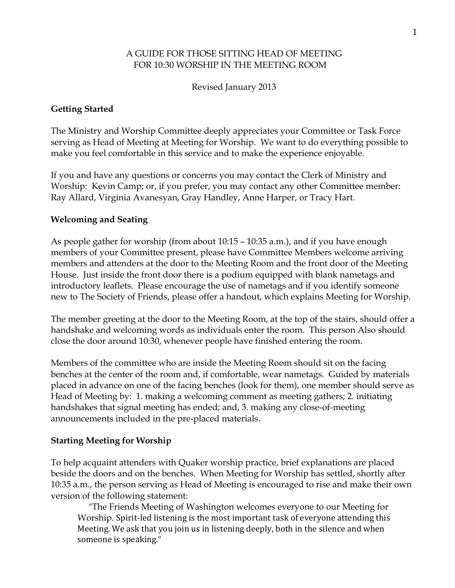## A GUIDE FOR THOSE SITTING HEAD OF MEETING FOR 10:30 WORSHIP IN THE MEETING ROOM

Revised January 2013

# **Getting Started**

The Ministry and Worship Committee deeply appreciates your Committee or Task Force serving as Head of Meeting at Meeting for Worship. We want to do everything possible to make you feel comfortable in this service and to make the experience enjoyable.

If you and have any questions or concerns you may contact the Clerk of Ministry and Worship: Kevin Camp; or, if you prefer, you may contact any other Committee member: Ray Allard, Virginia Avanesyan, Gray Handley, Anne Harper, or Tracy Hart.

### **Welcoming and Seating**

As people gather for worship (from about 10:15 – 10:35 a.m.), and if you have enough members of your Committee present, please have Committee Members welcome arriving members and attenders at the door to the Meeting Room and the front door of the Meeting House. Just inside the front door there is a podium equipped with blank nametags and introductory leaflets. Please encourage the use of nametags and if you identify someone new to The Society of Friends, please offer a handout, which explains Meeting for Worship.

The member greeting at the door to the Meeting Room, at the top of the stairs, should offer a handshake and welcoming words as individuals enter the room. This person Also should close the door around 10:30, whenever people have finished entering the room.

Members of the committee who are inside the Meeting Room should sit on the facing benches at the center of the room and, if comfortable, wear nametags. Guided by materials placed in advance on one of the facing benches (look for them), one member should serve as Head of Meeting by: 1. making a welcoming comment as meeting gathers; 2. initiating handshakes that signal meeting has ended; and, 3. making any close-of-meeting announcements included in the pre-placed materials.

### **Starting Meeting for Worship**

To help acquaint attenders with Quaker worship practice, brief explanations are placed beside the doors and on the benches. When Meeting for Worship has settled, shortly after 10:35 a.m., the person serving as Head of Meeting is encouraged to rise and make their own version of the following statement:

 "The Friends Meeting of Washington welcomes everyone to our Meeting for Worship. Spirit‐led listening is the most important task of everyone attending this Meeting. We ask that you join us in listening deeply, both in the silence and when someone is speaking."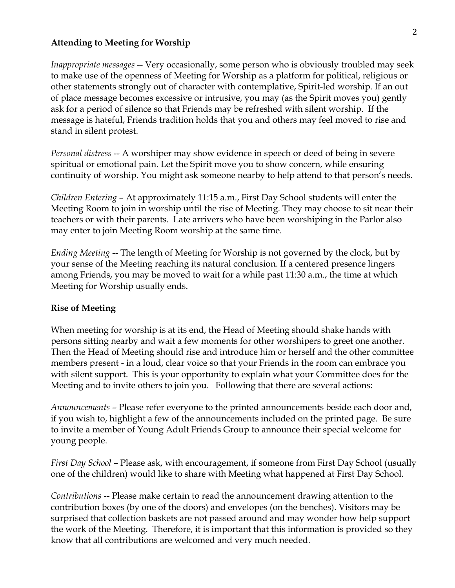#### **Attending to Meeting for Worship**

*Inappropriate messages* -- Very occasionally, some person who is obviously troubled may seek to make use of the openness of Meeting for Worship as a platform for political, religious or other statements strongly out of character with contemplative, Spirit-led worship. If an out of place message becomes excessive or intrusive, you may (as the Spirit moves you) gently ask for a period of silence so that Friends may be refreshed with silent worship. If the message is hateful, Friends tradition holds that you and others may feel moved to rise and stand in silent protest.

*Personal distress* -- A worshiper may show evidence in speech or deed of being in severe spiritual or emotional pain. Let the Spirit move you to show concern, while ensuring continuity of worship. You might ask someone nearby to help attend to that person's needs.

*Children Entering* – At approximately 11:15 a.m., First Day School students will enter the Meeting Room to join in worship until the rise of Meeting. They may choose to sit near their teachers or with their parents. Late arrivers who have been worshiping in the Parlor also may enter to join Meeting Room worship at the same time.

*Ending Meeting* -- The length of Meeting for Worship is not governed by the clock, but by your sense of the Meeting reaching its natural conclusion. If a centered presence lingers among Friends, you may be moved to wait for a while past 11:30 a.m., the time at which Meeting for Worship usually ends.

#### **Rise of Meeting**

When meeting for worship is at its end, the Head of Meeting should shake hands with persons sitting nearby and wait a few moments for other worshipers to greet one another. Then the Head of Meeting should rise and introduce him or herself and the other committee members present - in a loud, clear voice so that your Friends in the room can embrace you with silent support. This is your opportunity to explain what your Committee does for the Meeting and to invite others to join you. Following that there are several actions:

*Announcements* – Please refer everyone to the printed announcements beside each door and, if you wish to, highlight a few of the announcements included on the printed page. Be sure to invite a member of Young Adult Friends Group to announce their special welcome for young people.

*First Day School –* Please ask, with encouragement, if someone from First Day School (usually one of the children) would like to share with Meeting what happened at First Day School.

*Contributions* -- Please make certain to read the announcement drawing attention to the contribution boxes (by one of the doors) and envelopes (on the benches). Visitors may be surprised that collection baskets are not passed around and may wonder how help support the work of the Meeting. Therefore, it is important that this information is provided so they know that all contributions are welcomed and very much needed.